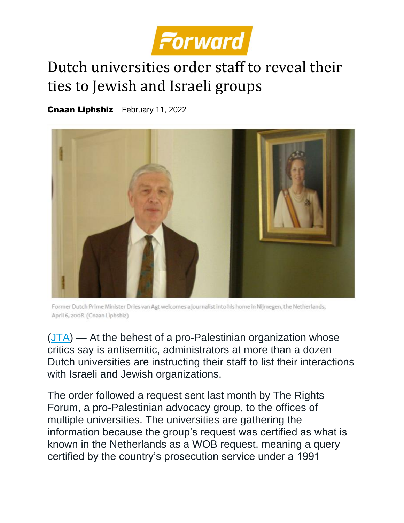

## Dutch universities order staff to reveal their ties to Jewish and Israeli groups

[Cnaan Liphshiz](https://forward.com/author/cnaan-liphshiz/) February 11, 2022



Former Dutch Prime Minister Dries van Agt welcomes a journalist into his home in Nijmegen, the Netherlands, April 6, 2008. (Cnaan Liphshiz)

 $(JTA)$  — At the behest of a pro-Palestinian organization whose critics say is antisemitic, administrators at more than a dozen Dutch universities are instructing their staff to list their interactions with Israeli and Jewish organizations.

The order followed a request sent last month by The Rights Forum, a pro-Palestinian advocacy group, to the offices of multiple universities. The universities are gathering the information because the group's request was certified as what is known in the Netherlands as a WOB request, meaning a query certified by the country's prosecution service under a 1991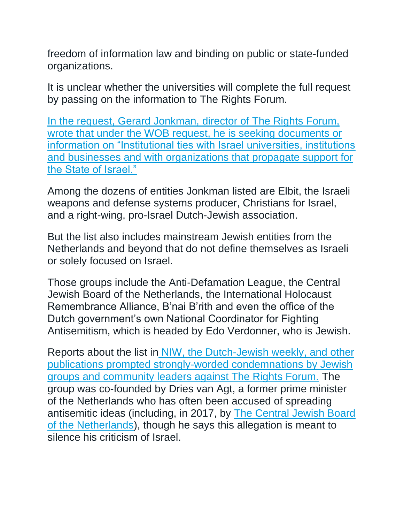freedom of information law and binding on public or state-funded organizations.

It is unclear whether the universities will complete the full request by passing on the information to The Rights Forum.

[In the request, Gerard Jonkman, director of](https://niw.nl/the-rights-forum-legt-absurde-eis-op-tafel/) The Rights Forum, wrote that under the WOB request, he is seeking documents or [information on "Institutional ties with Israel universities, institutions](https://niw.nl/the-rights-forum-legt-absurde-eis-op-tafel/)  [and businesses and with organizations that propagate support for](https://niw.nl/the-rights-forum-legt-absurde-eis-op-tafel/)  [the State of Israel."](https://niw.nl/the-rights-forum-legt-absurde-eis-op-tafel/)

Among the dozens of entities Jonkman listed are Elbit, the Israeli weapons and defense systems producer, Christians for Israel, and a right-wing, pro-Israel Dutch-Jewish association.

But the list also includes mainstream Jewish entities from the Netherlands and beyond that do not define themselves as Israeli or solely focused on Israel.

Those groups include the Anti-Defamation League, the Central Jewish Board of the Netherlands, the International Holocaust Remembrance Alliance, B'nai B'rith and even the office of the Dutch government's own National Coordinator for Fighting Antisemitism, which is headed by Edo Verdonner, who is Jewish.

Reports about the list in [NIW, the Dutch-Jewish weekly, and other](https://niw.nl/the-rights-forum-legt-absurde-eis-op-tafel/)  [publications prompted strongly-worded condemnations by Jewish](https://niw.nl/the-rights-forum-legt-absurde-eis-op-tafel/)  [groups and community leaders against The Rights Forum.](https://niw.nl/the-rights-forum-legt-absurde-eis-op-tafel/) The group was co-founded by Dries van Agt, a former prime minister of the Netherlands who has often been accused of spreading antisemitic ideas (including, in 2017, by [The Central Jewish Board](https://www.jta.org/2017/12/01/global/dutch-jews-say-former-prime-minister-peddles-anti-semitism)  [of the Netherlands\)](https://www.jta.org/2017/12/01/global/dutch-jews-say-former-prime-minister-peddles-anti-semitism), though he says this allegation is meant to silence his criticism of Israel.